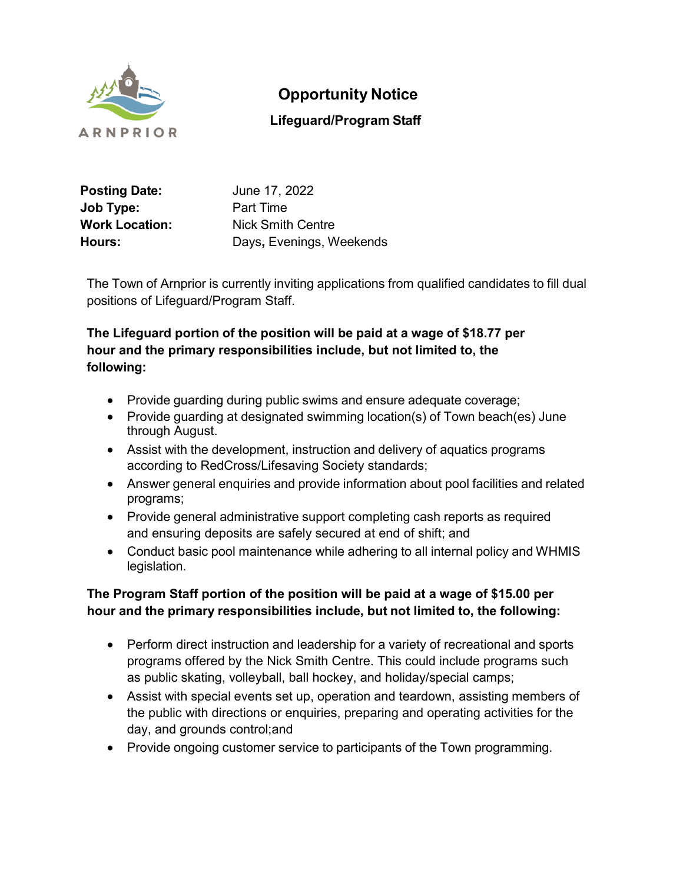

# **Opportunity Notice**

## **Lifeguard/Program Staff**

| <b>Posting Date:</b>  | June 17, 2022            |
|-----------------------|--------------------------|
| Job Type:             | Part Time                |
| <b>Work Location:</b> | <b>Nick Smith Centre</b> |
| Hours:                | Days, Evenings, Weekends |

The Town of Arnprior is currently inviting applications from qualified candidates to fill dual positions of Lifeguard/Program Staff.

### **The Lifeguard portion of the position will be paid at a wage of \$18.77 per hour and the primary responsibilities include, but not limited to, the following:**

- Provide guarding during public swims and ensure adequate coverage;
- Provide guarding at designated swimming location(s) of Town beach(es) June through August.
- Assist with the development, instruction and delivery of aquatics programs according to RedCross/Lifesaving Society standards;
- Answer general enquiries and provide information about pool facilities and related programs;
- Provide general administrative support completing cash reports as required and ensuring deposits are safely secured at end of shift; and
- Conduct basic pool maintenance while adhering to all internal policy and WHMIS legislation.

### **The Program Staff portion of the position will be paid at a wage of \$15.00 per hour and the primary responsibilities include, but not limited to, the following:**

- Perform direct instruction and leadership for a variety of recreational and sports programs offered by the Nick Smith Centre. This could include programs such as public skating, volleyball, ball hockey, and holiday/special camps;
- Assist with special events set up, operation and teardown, assisting members of the public with directions or enquiries, preparing and operating activities for the day, and grounds control;and
- Provide ongoing customer service to participants of the Town programming.